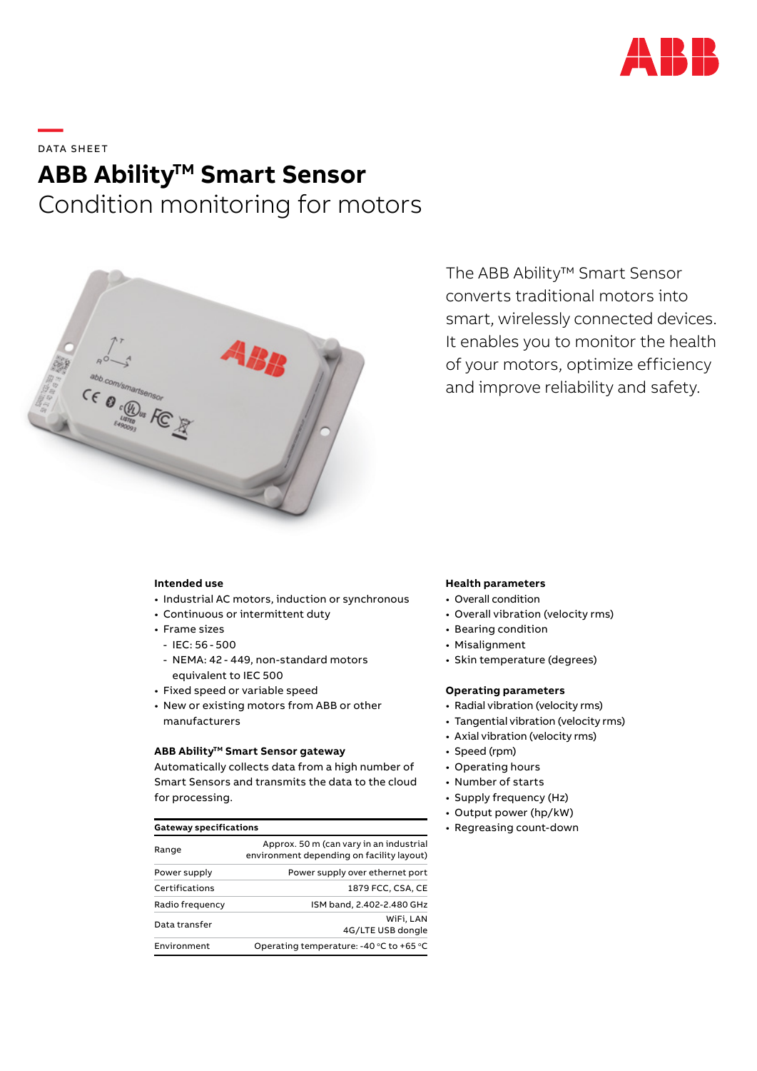

# **—**  DATA SHEET **ABB Ability<sup>™</sup> Smart Sensor** Condition monitoring for motors



The ABB Ability™ Smart Sensor converts traditional motors into smart, wirelessly connected devices. It enables you to monitor the health of your motors, optimize efficiency and improve reliability and safety.

### **Intended use**

- Industrial AC motors, induction or synchronous
- Continuous or intermittent duty
- Frame sizes
- IEC: 56 500
- NEMA: 42 449, non-standard motors equivalent to IEC 500
- Fixed speed or variable speed
- New or existing motors from ABB or other manufacturers

## **ABB Ability™ Smart Sensor gateway**

Automatically collects data from a high number of Smart Sensors and transmits the data to the cloud for processing.

| Range           | Approx. 50 m (can vary in an industrial<br>environment depending on facility layout) |
|-----------------|--------------------------------------------------------------------------------------|
| Power supply    | Power supply over ethernet port                                                      |
| Certifications  | 1879 FCC, CSA, CE                                                                    |
| Radio frequency | ISM band, 2.402-2.480 GHz                                                            |
| Data transfer   | WiFi. LAN<br>4G/LTE USB dongle                                                       |
| Environment     | Operating temperature: -40 °C to +65 °C                                              |

### **Health parameters**

- Overall condition
- Overall vibration (velocity rms)
- Bearing condition
- Misalignment
- Skin temperature (degrees)

### **Operating parameters**

- Radial vibration (velocity rms)
- Tangential vibration (velocity rms)
- Axial vibration (velocity rms)
- Speed (rpm)
- Operating hours
- Number of starts
- Supply frequency (Hz)
- Output power (hp/kW)
- **Gateway specifications Figure 2.1 Control of the Cateway specifications •** Regreasing count-down